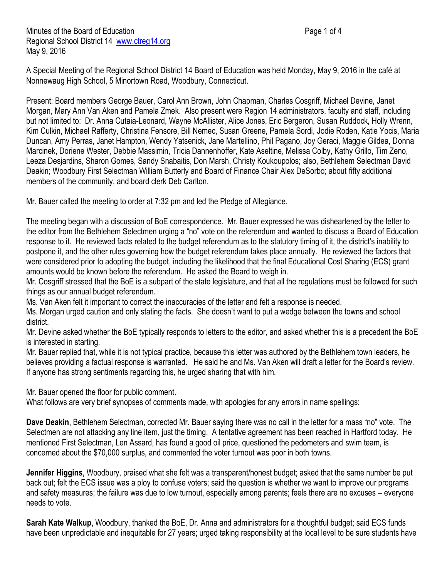A Special Meeting of the Regional School District 14 Board of Education was held Monday, May 9, 2016 in the café at Nonnewaug High School, 5 Minortown Road, Woodbury, Connecticut.

Present: Board members George Bauer, Carol Ann Brown, John Chapman, Charles Cosgriff, Michael Devine, Janet Morgan, Mary Ann Van Aken and Pamela Zmek. Also present were Region 14 administrators, faculty and staff, including but not limited to: Dr. Anna Cutaia-Leonard, Wayne McAllister, Alice Jones, Eric Bergeron, Susan Ruddock, Holly Wrenn, Kim Culkin, Michael Rafferty, Christina Fensore, Bill Nemec, Susan Greene, Pamela Sordi, Jodie Roden, Katie Yocis, Maria Duncan, Amy Perras, Janet Hampton, Wendy Yatsenick, Jane Martellino, Phil Pagano, Joy Geraci, Maggie Gildea, Donna Marcinek, Doriene Wester, Debbie Massimin, Tricia Dannenhoffer, Kate Aseltine, Melissa Colby, Kathy Grillo, Tim Zeno, Leeza Desjardins, Sharon Gomes, Sandy Snabaitis, Don Marsh, Christy Koukoupolos; also, Bethlehem Selectman David Deakin; Woodbury First Selectman William Butterly and Board of Finance Chair Alex DeSorbo; about fifty additional members of the community, and board clerk Deb Carlton.

Mr. Bauer called the meeting to order at 7:32 pm and led the Pledge of Allegiance.

The meeting began with a discussion of BoE correspondence. Mr. Bauer expressed he was disheartened by the letter to the editor from the Bethlehem Selectmen urging a "no" vote on the referendum and wanted to discuss a Board of Education response to it. He reviewed facts related to the budget referendum as to the statutory timing of it, the district's inability to postpone it, and the other rules governing how the budget referendum takes place annually. He reviewed the factors that were considered prior to adopting the budget, including the likelihood that the final Educational Cost Sharing (ECS) grant amounts would be known before the referendum. He asked the Board to weigh in.

Mr. Cosgriff stressed that the BoE is a subpart of the state legislature, and that all the regulations must be followed for such things as our annual budget referendum.

Ms. Van Aken felt it important to correct the inaccuracies of the letter and felt a response is needed.

Ms. Morgan urged caution and only stating the facts. She doesn't want to put a wedge between the towns and school district.

Mr. Devine asked whether the BoE typically responds to letters to the editor, and asked whether this is a precedent the BoE is interested in starting.

Mr. Bauer replied that, while it is not typical practice, because this letter was authored by the Bethlehem town leaders, he believes providing a factual response is warranted. He said he and Ms. Van Aken will draft a letter for the Board's review. If anyone has strong sentiments regarding this, he urged sharing that with him.

Mr. Bauer opened the floor for public comment.

What follows are very brief synopses of comments made, with apologies for any errors in name spellings:

**Dave Deakin**, Bethlehem Selectman, corrected Mr. Bauer saying there was no call in the letter for a mass "no" vote. The Selectmen are not attacking any line item, just the timing. A tentative agreement has been reached in Hartford today. He mentioned First Selectman, Len Assard, has found a good oil price, questioned the pedometers and swim team, is concerned about the \$70,000 surplus, and commented the voter turnout was poor in both towns.

**Jennifer Higgins**, Woodbury, praised what she felt was a transparent/honest budget; asked that the same number be put back out; felt the ECS issue was a ploy to confuse voters; said the question is whether we want to improve our programs and safety measures; the failure was due to low turnout, especially among parents; feels there are no excuses – everyone needs to vote.

**Sarah Kate Walkup**, Woodbury, thanked the BoE, Dr. Anna and administrators for a thoughtful budget; said ECS funds have been unpredictable and inequitable for 27 years; urged taking responsibility at the local level to be sure students have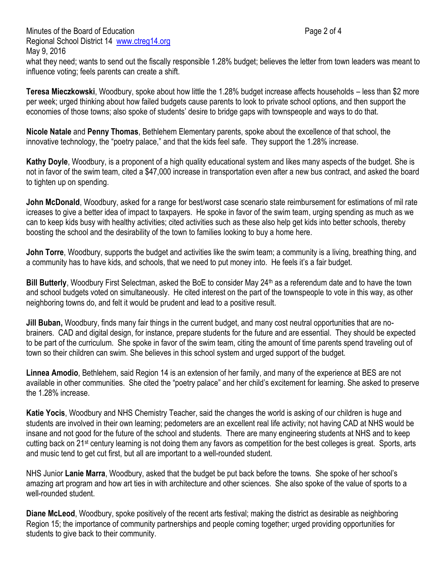Minutes of the Board of Education **Page 2 of 4** and 2 of 4 Regional School District 14 [www.ctreg14.org](http://www.ctreg14.org/) May 9, 2016

what they need; wants to send out the fiscally responsible 1.28% budget; believes the letter from town leaders was meant to influence voting; feels parents can create a shift.

**Teresa Mieczkowski**, Woodbury, spoke about how little the 1.28% budget increase affects households – less than \$2 more per week; urged thinking about how failed budgets cause parents to look to private school options, and then support the economies of those towns; also spoke of students' desire to bridge gaps with townspeople and ways to do that.

**Nicole Natale** and **Penny Thomas**, Bethlehem Elementary parents, spoke about the excellence of that school, the innovative technology, the "poetry palace," and that the kids feel safe. They support the 1.28% increase.

**Kathy Doyle**, Woodbury, is a proponent of a high quality educational system and likes many aspects of the budget. She is not in favor of the swim team, cited a \$47,000 increase in transportation even after a new bus contract, and asked the board to tighten up on spending.

**John McDonald**, Woodbury, asked for a range for best/worst case scenario state reimbursement for estimations of mil rate icreases to give a better idea of impact to taxpayers. He spoke in favor of the swim team, urging spending as much as we can to keep kids busy with healthy activities; cited activities such as these also help get kids into better schools, thereby boosting the school and the desirability of the town to families looking to buy a home here.

**John Torre**, Woodbury, supports the budget and activities like the swim team; a community is a living, breathing thing, and a community has to have kids, and schools, that we need to put money into. He feels it's a fair budget.

**Bill Butterly**, Woodbury First Selectman, asked the BoE to consider May 24<sup>th</sup> as a referendum date and to have the town and school budgets voted on simultaneously. He cited interest on the part of the townspeople to vote in this way, as other neighboring towns do, and felt it would be prudent and lead to a positive result.

**Jill Buban,** Woodbury, finds many fair things in the current budget, and many cost neutral opportunities that are nobrainers. CAD and digital design, for instance, prepare students for the future and are essential. They should be expected to be part of the curriculum. She spoke in favor of the swim team, citing the amount of time parents spend traveling out of town so their children can swim. She believes in this school system and urged support of the budget.

**Linnea Amodio**, Bethlehem, said Region 14 is an extension of her family, and many of the experience at BES are not available in other communities. She cited the "poetry palace" and her child's excitement for learning. She asked to preserve the 1.28% increase.

**Katie Yocis**, Woodbury and NHS Chemistry Teacher, said the changes the world is asking of our children is huge and students are involved in their own learning; pedometers are an excellent real life activity; not having CAD at NHS would be insane and not good for the future of the school and students. There are many engineering students at NHS and to keep cutting back on 21st century learning is not doing them any favors as competition for the best colleges is great. Sports, arts and music tend to get cut first, but all are important to a well-rounded student.

NHS Junior **Lanie Marra**, Woodbury, asked that the budget be put back before the towns. She spoke of her school's amazing art program and how art ties in with architecture and other sciences. She also spoke of the value of sports to a well-rounded student.

**Diane McLeod**, Woodbury, spoke positively of the recent arts festival; making the district as desirable as neighboring Region 15; the importance of community partnerships and people coming together; urged providing opportunities for students to give back to their community.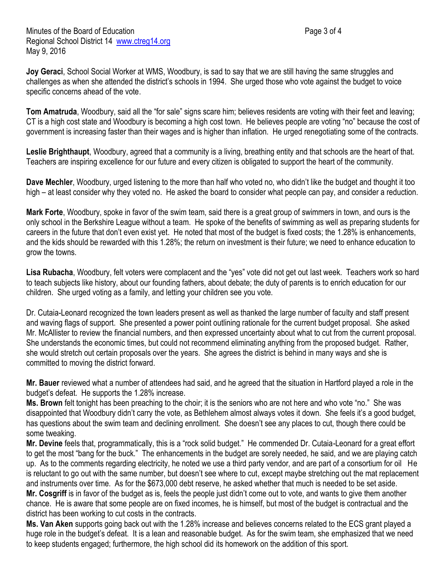**Joy Geraci**, School Social Worker at WMS, Woodbury, is sad to say that we are still having the same struggles and challenges as when she attended the district's schools in 1994. She urged those who vote against the budget to voice specific concerns ahead of the vote.

**Tom Amatruda**, Woodbury, said all the "for sale" signs scare him; believes residents are voting with their feet and leaving; CT is a high cost state and Woodbury is becoming a high cost town. He believes people are voting "no" because the cost of government is increasing faster than their wages and is higher than inflation. He urged renegotiating some of the contracts.

**Leslie Brighthaupt**, Woodbury, agreed that a community is a living, breathing entity and that schools are the heart of that. Teachers are inspiring excellence for our future and every citizen is obligated to support the heart of the community.

**Dave Mechler**, Woodbury, urged listening to the more than half who voted no, who didn't like the budget and thought it too high – at least consider why they voted no. He asked the board to consider what people can pay, and consider a reduction.

**Mark Forte**, Woodbury, spoke in favor of the swim team, said there is a great group of swimmers in town, and ours is the only school in the Berkshire League without a team. He spoke of the benefits of swimming as well as preparing students for careers in the future that don't even exist yet. He noted that most of the budget is fixed costs; the 1.28% is enhancements, and the kids should be rewarded with this 1.28%; the return on investment is their future; we need to enhance education to grow the towns.

**Lisa Rubacha**, Woodbury, felt voters were complacent and the "yes" vote did not get out last week. Teachers work so hard to teach subjects like history, about our founding fathers, about debate; the duty of parents is to enrich education for our children. She urged voting as a family, and letting your children see you vote.

Dr. Cutaia-Leonard recognized the town leaders present as well as thanked the large number of faculty and staff present and waving flags of support. She presented a power point outlining rationale for the current budget proposal. She asked Mr. McAllister to review the financial numbers, and then expressed uncertainty about what to cut from the current proposal. She understands the economic times, but could not recommend eliminating anything from the proposed budget. Rather, she would stretch out certain proposals over the years. She agrees the district is behind in many ways and she is committed to moving the district forward.

**Mr. Bauer** reviewed what a number of attendees had said, and he agreed that the situation in Hartford played a role in the budget's defeat. He supports the 1.28% increase.

**Ms. Brown** felt tonight has been preaching to the choir; it is the seniors who are not here and who vote "no." She was disappointed that Woodbury didn't carry the vote, as Bethlehem almost always votes it down. She feels it's a good budget, has questions about the swim team and declining enrollment. She doesn't see any places to cut, though there could be some tweaking.

**Mr. Devine** feels that, programmatically, this is a "rock solid budget." He commended Dr. Cutaia-Leonard for a great effort to get the most "bang for the buck." The enhancements in the budget are sorely needed, he said, and we are playing catch up. As to the comments regarding electricity, he noted we use a third party vendor, and are part of a consortium for oil He is reluctant to go out with the same number, but doesn't see where to cut, except maybe stretching out the mat replacement and instruments over time. As for the \$673,000 debt reserve, he asked whether that much is needed to be set aside.

**Mr. Cosgriff** is in favor of the budget as is, feels the people just didn't come out to vote, and wants to give them another chance. He is aware that some people are on fixed incomes, he is himself, but most of the budget is contractual and the district has been working to cut costs in the contracts.

**Ms. Van Aken** supports going back out with the 1.28% increase and believes concerns related to the ECS grant played a huge role in the budget's defeat. It is a lean and reasonable budget. As for the swim team, she emphasized that we need to keep students engaged; furthermore, the high school did its homework on the addition of this sport.